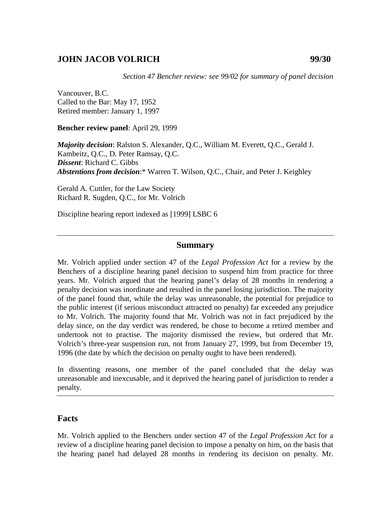## **JOHN JACOB VOLRICH 99/30**

*Section 47 Bencher review: see 99/02 for summary of panel decision* 

Vancouver, B.C. Called to the Bar: May 17, 1952 Retired member: January 1, 1997

**Bencher review panel**: April 29, 1999

*Majority decision*: Ralston S. Alexander, Q.C., William M. Everett, Q.C., Gerald J. Kambeitz, Q.C., D. Peter Ramsay, Q.C. *Dissent*: Richard C. Gibbs *Abstentions from decision*:\* Warren T. Wilson, Q.C., Chair, and Peter J. Keighley

Gerald A. Cuttler, for the Law Society Richard R. Sugden, Q.C., for Mr. Volrich

Discipline hearing report indexed as [1999] LSBC 6

#### **Summary**

Mr. Volrich applied under section 47 of the *Legal Profession Act* for a review by the Benchers of a discipline hearing panel decision to suspend him from practice for three years. Mr. Volrich argued that the hearing panel's delay of 28 months in rendering a penalty decision was inordinate and resulted in the panel losing jurisdiction. The majority of the panel found that, while the delay was unreasonable, the potential for prejudice to the public interest (if serious misconduct attracted no penalty) far exceeded any prejudice to Mr. Volrich. The majority found that Mr. Volrich was not in fact prejudiced by the delay since, on the day verdict was rendered, he chose to become a retired member and undertook not to practise. The majority dismissed the review, but ordered that Mr. Volrich's three-year suspension run, not from January 27, 1999, but from December 19, 1996 (the date by which the decision on penalty ought to have been rendered).

In dissenting reasons, one member of the panel concluded that the delay was unreasonable and inexcusable, and it deprived the hearing panel of jurisdiction to render a penalty.

### **Facts**

Mr. Volrich applied to the Benchers under section 47 of the *Legal Profession Act* for a review of a discipline hearing panel decision to impose a penalty on him, on the basis that the hearing panel had delayed 28 months in rendering its decision on penalty. Mr.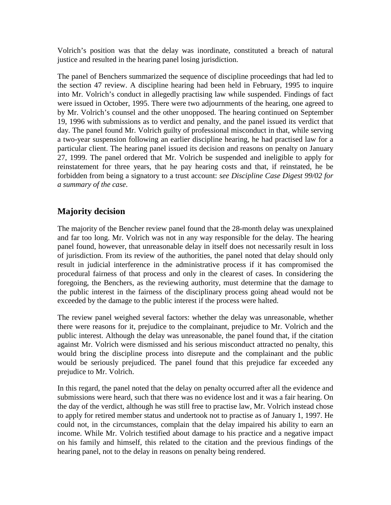Volrich's position was that the delay was inordinate, constituted a breach of natural justice and resulted in the hearing panel losing jurisdiction.

The panel of Benchers summarized the sequence of discipline proceedings that had led to the section 47 review. A discipline hearing had been held in February, 1995 to inquire into Mr. Volrich's conduct in allegedly practising law while suspended. Findings of fact were issued in October, 1995. There were two adjournments of the hearing, one agreed to by Mr. Volrich's counsel and the other unopposed. The hearing continued on September 19, 1996 with submissions as to verdict and penalty, and the panel issued its verdict that day. The panel found Mr. Volrich guilty of professional misconduct in that, while serving a two-year suspension following an earlier discipline hearing, he had practised law for a particular client. The hearing panel issued its decision and reasons on penalty on January 27, 1999. The panel ordered that Mr. Volrich be suspended and ineligible to apply for reinstatement for three years, that he pay hearing costs and that, if reinstated, he be forbidden from being a signatory to a trust account: *see Discipline Case Digest 99/02 for a summary of the case*.

# **Majority decision**

The majority of the Bencher review panel found that the 28-month delay was unexplained and far too long. Mr. Volrich was not in any way responsible for the delay. The hearing panel found, however, that unreasonable delay in itself does not necessarily result in loss of jurisdiction. From its review of the authorities, the panel noted that delay should only result in judicial interference in the administrative process if it has compromised the procedural fairness of that process and only in the clearest of cases. In considering the foregoing, the Benchers, as the reviewing authority, must determine that the damage to the public interest in the fairness of the disciplinary process going ahead would not be exceeded by the damage to the public interest if the process were halted.

The review panel weighed several factors: whether the delay was unreasonable, whether there were reasons for it, prejudice to the complainant, prejudice to Mr. Volrich and the public interest. Although the delay was unreasonable, the panel found that, if the citation against Mr. Volrich were dismissed and his serious misconduct attracted no penalty, this would bring the discipline process into disrepute and the complainant and the public would be seriously prejudiced. The panel found that this prejudice far exceeded any prejudice to Mr. Volrich.

In this regard, the panel noted that the delay on penalty occurred after all the evidence and submissions were heard, such that there was no evidence lost and it was a fair hearing. On the day of the verdict, although he was still free to practise law, Mr. Volrich instead chose to apply for retired member status and undertook not to practise as of January 1, 1997. He could not, in the circumstances, complain that the delay impaired his ability to earn an income. While Mr. Volrich testified about damage to his practice and a negative impact on his family and himself, this related to the citation and the previous findings of the hearing panel, not to the delay in reasons on penalty being rendered.